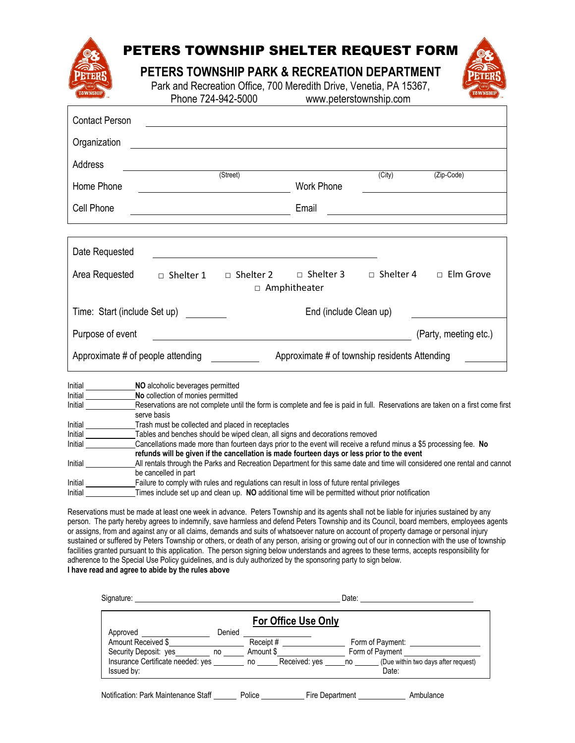| <b><i>AWNSHIE</i></b>        |                  |                  | PETERS TOWNSHIP SHELTER REQUEST FORM<br>PETERS TOWNSHIP PARK & RECREATION DEPARTMENT<br>Park and Recreation Office, 700 Meredith Drive, Venetia, PA 15367,<br>Phone 724-942-5000 www.peterstownship.com |                     | <b>AWNSHI</b>                                              |
|------------------------------|------------------|------------------|---------------------------------------------------------------------------------------------------------------------------------------------------------------------------------------------------------|---------------------|------------------------------------------------------------|
| <b>Contact Person</b>        |                  |                  | <u> 1980 - Jan James Santan, martxa alemaniar argamento de la contrada de la contrada de la contrada de la con</u>                                                                                      |                     |                                                            |
| Organization                 |                  |                  |                                                                                                                                                                                                         |                     |                                                            |
| Address                      | $S_t$ (Street)   |                  |                                                                                                                                                                                                         | $\overline{(City)}$ | (Zip-Code)                                                 |
| Home Phone                   |                  |                  | <b>Work Phone</b>                                                                                                                                                                                       |                     |                                                            |
| Cell Phone                   |                  |                  | Email                                                                                                                                                                                                   |                     | <u> 1989 - John Stein, mars and de Brazilian (b. 1989)</u> |
|                              |                  |                  |                                                                                                                                                                                                         |                     |                                                            |
| Date Requested               |                  |                  |                                                                                                                                                                                                         |                     |                                                            |
| Area Requested               | $\Box$ Shelter 1 | $\Box$ Shelter 2 | $\Box$ Shelter 3<br>$\Box$ Amphitheater                                                                                                                                                                 |                     | $\Box$ Shelter 4 $\Box$ Elm Grove                          |
| Time: Start (include Set up) |                  |                  | End (include Clean up)                                                                                                                                                                                  |                     |                                                            |
| Purpose of event             |                  |                  |                                                                                                                                                                                                         |                     | (Party, meeting etc.)                                      |

| Approximate # of people attending | Approximate # of township residents Attending |  |
|-----------------------------------|-----------------------------------------------|--|
|                                   |                                               |  |

| Initial | NO alcoholic beverages permitted                                                                                                              |
|---------|-----------------------------------------------------------------------------------------------------------------------------------------------|
| Initial | No collection of monies permitted                                                                                                             |
| Initial | Reservations are not complete until the form is complete and fee is paid in full. Reservations are taken on a first come first<br>serve basis |
|         |                                                                                                                                               |
| Initial | Trash must be collected and placed in receptacles                                                                                             |
| Initial | Tables and benches should be wiped clean, all signs and decorations removed                                                                   |
| Initial | Cancellations made more than fourteen days prior to the event will receive a refund minus a \$5 processing fee. No                            |
|         | refunds will be given if the cancellation is made fourteen days or less prior to the event                                                    |
| Initial | All rentals through the Parks and Recreation Department for this same date and time will considered one rental and cannot                     |
|         | be cancelled in part                                                                                                                          |
| Initial | Failure to comply with rules and regulations can result in loss of future rental privileges                                                   |
| Initial | Times include set up and clean up. NO additional time will be permitted without prior notification                                            |

Reservations must be made at least one week in advance. Peters Township and its agents shall not be liable for injuries sustained by any person. The party hereby agrees to indemnify, save harmless and defend Peters Township and its Council, board members, employees agents or assigns, from and against any or all claims, demands and suits of whatsoever nature on account of property damage or personal injury sustained or suffered by Peters Township or others, or death of any person, arising or growing out of our in connection with the use of township facilities granted pursuant to this application. The person signing below understands and agrees to these terms, accepts responsibility for adherence to the Special Use Policy guidelines, and is duly authorized by the sponsoring party to sign below. **I have read and agree to abide by the rules above**

| Signature:                                      | Date:  |           |                     |           |                                              |
|-------------------------------------------------|--------|-----------|---------------------|-----------|----------------------------------------------|
|                                                 |        |           | For Office Use Only |           |                                              |
| Approved<br>Amount Received \$                  | Denied | Receipt#  |                     |           | Form of Payment:                             |
| Security Deposit: yes only no                   |        | Amount \$ |                     |           | Form of Payment                              |
| Insurance Certificate needed: yes<br>Issued by: |        |           | no Received: yes    | <b>no</b> | (Due within two days after request)<br>Date: |
| Notification: Park Maintenance Staff            |        | Police    | Fire Department     |           | Ambulance                                    |